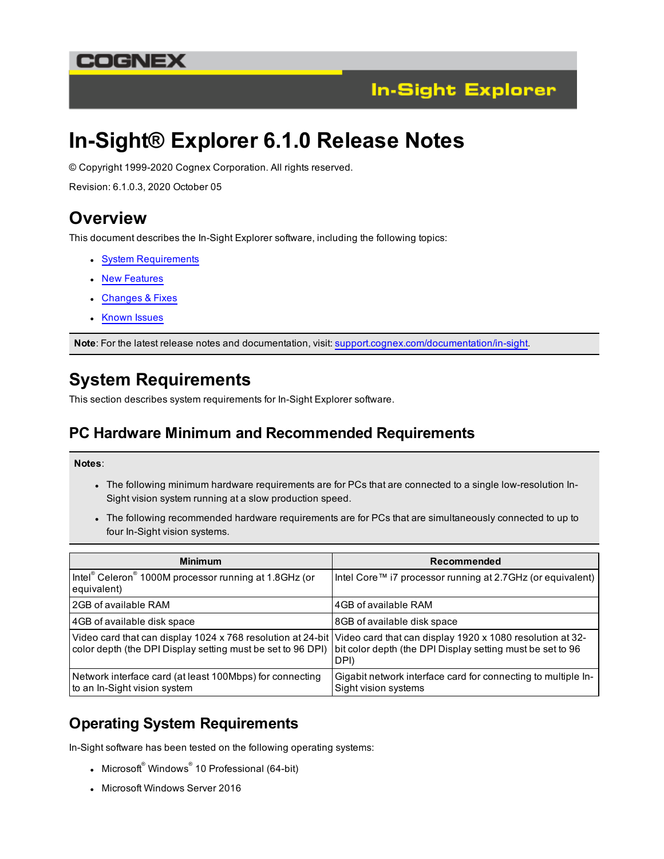## COGNEX



# **In-Sight® Explorer 6.1.0 Release Notes**

© Copyright 1999-2020 Cognex Corporation. All rights reserved.

Revision: 6.1.0.3, 2020 October 05

### **Overview**

This document describes the In-Sight Explorer software, including the following topics:

- System [Requirements](#page-0-0)
- New [Features](#page-2-0)
- [Changes](#page-3-0) & Fixes
- [Known](#page-5-0) Issues

<span id="page-0-0"></span>**Note**: For the latest release notes and documentation, visit: [support.cognex.com/documentation/in-sight.](https://support.cognex.com/documentation/in-sight)

# **System Requirements**

This section describes system requirements for In-Sight Explorer software.

### **PC Hardware Minimum and Recommended Requirements**

#### **Notes**:

- . The following minimum hardware requirements are for PCs that are connected to a single low-resolution In-Sight vision system running at a slow production speed.
- The following recommended hardware requirements are for PCs that are simultaneously connected to up to four In-Sight vision systems.

| <b>Minimum</b>                                                                                                                                                                       | Recommended                                                                           |
|--------------------------------------------------------------------------------------------------------------------------------------------------------------------------------------|---------------------------------------------------------------------------------------|
| Intel® Celeron® 1000M processor running at 1.8GHz (or<br>equivalent)                                                                                                                 | Intel Core™ i7 processor running at 2.7GHz (or equivalent)                            |
| l 2GB of available RAM                                                                                                                                                               | 4GB of available RAM                                                                  |
| 4GB of available disk space                                                                                                                                                          | 8GB of available disk space                                                           |
| Video card that can display 1024 x 768 resolution at 24-bit Video card that can display 1920 x 1080 resolution at 32-<br>color depth (the DPI Display setting must be set to 96 DPI) | bit color depth (the DPI Display setting must be set to 96<br>DPI)                    |
| Network interface card (at least 100Mbps) for connecting<br>to an In-Sight vision system                                                                                             | Gigabit network interface card for connecting to multiple In-<br>Sight vision systems |

### **Operating System Requirements**

In-Sight software has been tested on the following operating systems:

- Microsoft $^{\circ}$  Windows $^{\circ}$  10 Professional (64-bit)
- Microsoft Windows Server 2016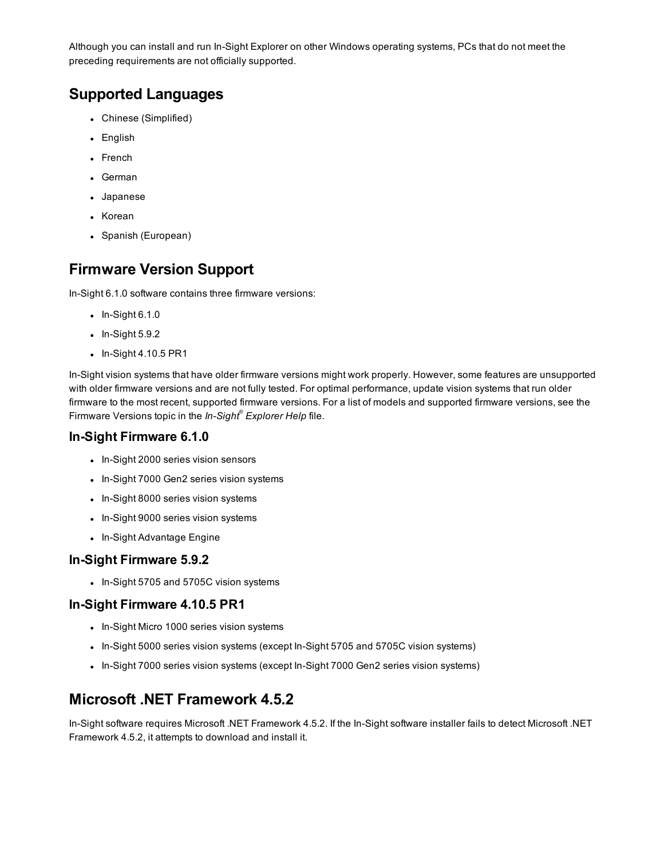Although you can install and run In-Sight Explorer on other Windows operating systems, PCs that do not meet the preceding requirements are not officially supported.

### **Supported Languages**

- Chinese (Simplified)
- English
- French
- German
- Japanese
- Korean
- Spanish (European)

### **Firmware Version Support**

In-Sight 6.1.0 software contains three firmware versions:

- $\bullet$  In-Sight 6.1.0
- $\bullet$  In-Sight 5.9.2
- $\bullet$  In-Sight 4.10.5 PR1

In-Sight vision systems that have older firmware versions might work properly. However, some features are unsupported with older firmware versions and are not fully tested. For optimal performance, update vision systems that run older firmware to the most recent, supported firmware versions. For a list of models and supported firmware versions, see the Firmware Versions topic in the *In-Sight® Explorer Help* file.

#### **In-Sight Firmware 6.1.0**

- In-Sight 2000 series vision sensors
- In-Sight 7000 Gen2 series vision systems
- In-Sight 8000 series vision systems
- In-Sight 9000 series vision systems
- In-Sight Advantage Engine

#### **In-Sight Firmware 5.9.2**

• In-Sight 5705 and 5705C vision systems

#### **In-Sight Firmware 4.10.5 PR1**

- In-Sight Micro 1000 series vision systems
- In-Sight 5000 series vision systems (except In-Sight 5705 and 5705C vision systems)
- In-Sight 7000 series vision systems (except In-Sight 7000 Gen2 series vision systems)

### **Microsoft .NET Framework 4.5.2**

In-Sight software requires Microsoft .NET Framework 4.5.2. If the In-Sight software installer fails to detect Microsoft .NET Framework 4.5.2, it attempts to download and install it.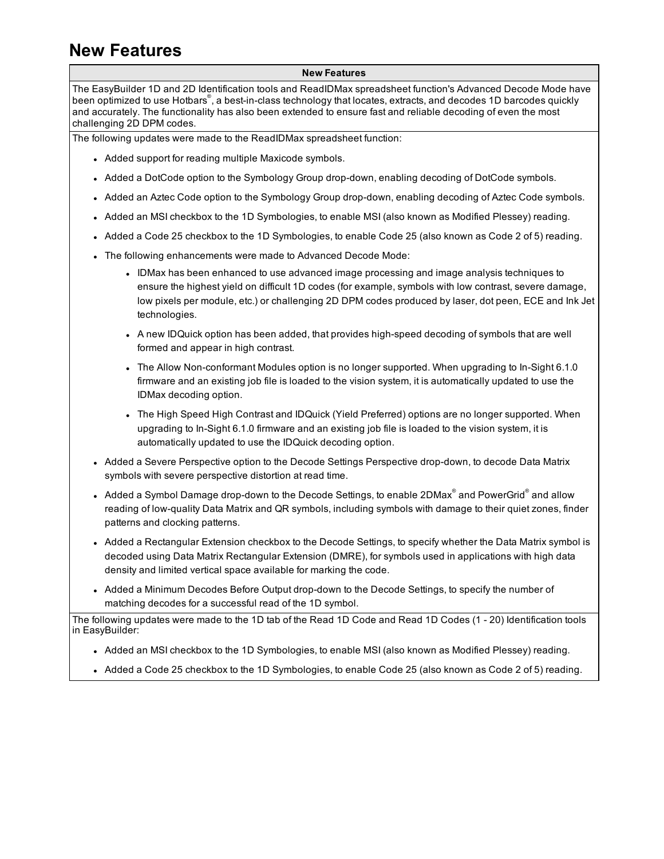# <span id="page-2-0"></span>**New Features**

#### **New Features**

The EasyBuilder 1D and 2D Identification tools and ReadIDMax spreadsheet function's Advanced Decode Mode have been optimized to use Hotbars® , a best-in-class technology that locates, extracts, and decodes 1D barcodes quickly and accurately. The functionality has also been extended to ensure fast and reliable decoding of even the most challenging 2D DPM codes.

The following updates were made to the ReadIDMax spreadsheet function:

- Added support for reading multiple Maxicode symbols.
- Added a DotCode option to the Symbology Group drop-down, enabling decoding of DotCode symbols.
- Added an Aztec Code option to the Symbology Group drop-down, enabling decoding of Aztec Code symbols.
- Added an MSI checkbox to the 1D Symbologies, to enable MSI (also known as Modified Plessey) reading.
- Added a Code 25 checkbox to the 1D Symbologies, to enable Code 25 (also known as Code 2 of 5) reading.
- The following enhancements were made to Advanced Decode Mode:
	- IDMax has been enhanced to use advanced image processing and image analysis techniques to ensure the highest yield on difficult 1D codes (for example, symbols with low contrast, severe damage, low pixels per module, etc.) or challenging 2D DPM codes produced by laser, dot peen, ECE and Ink Jet technologies.
	- A new IDQuick option has been added, that provides high-speed decoding of symbols that are well formed and appear in high contrast.
	- . The Allow Non-conformant Modules option is no longer supported. When upgrading to In-Sight 6.1.0 firmware and an existing job file is loaded to the vision system, it is automatically updated to use the IDMax decoding option.
	- The High Speed High Contrast and IDQuick (Yield Preferred) options are no longer supported. When upgrading to In-Sight 6.1.0 firmware and an existing job file is loaded to the vision system, it is automatically updated to use the IDQuick decoding option.
- Added a Severe Perspective option to the Decode Settings Perspective drop-down, to decode Data Matrix symbols with severe perspective distortion at read time.
- $\,$  Added a Symbol Damage drop-down to the Decode Settings, to enable 2DMax $^{\circ}$  and PowerGrid $^{\circ}$  and allow reading of low-quality Data Matrix and QR symbols, including symbols with damage to their quiet zones, finder patterns and clocking patterns.
- Added a Rectangular Extension checkbox to the Decode Settings, to specify whether the Data Matrix symbol is decoded using Data Matrix Rectangular Extension (DMRE), for symbols used in applications with high data density and limited vertical space available for marking the code.
- Added a Minimum Decodes Before Output drop-down to the Decode Settings, to specify the number of matching decodes for a successful read of the 1D symbol.

The following updates were made to the 1D tab of the Read 1D Code and Read 1D Codes (1 - 20) Identification tools in EasyBuilder:

- Added an MSI checkbox to the 1D Symbologies, to enable MSI (also known as Modified Plessey) reading.
- Added a Code 25 checkbox to the 1D Symbologies, to enable Code 25 (also known as Code 2 of 5) reading.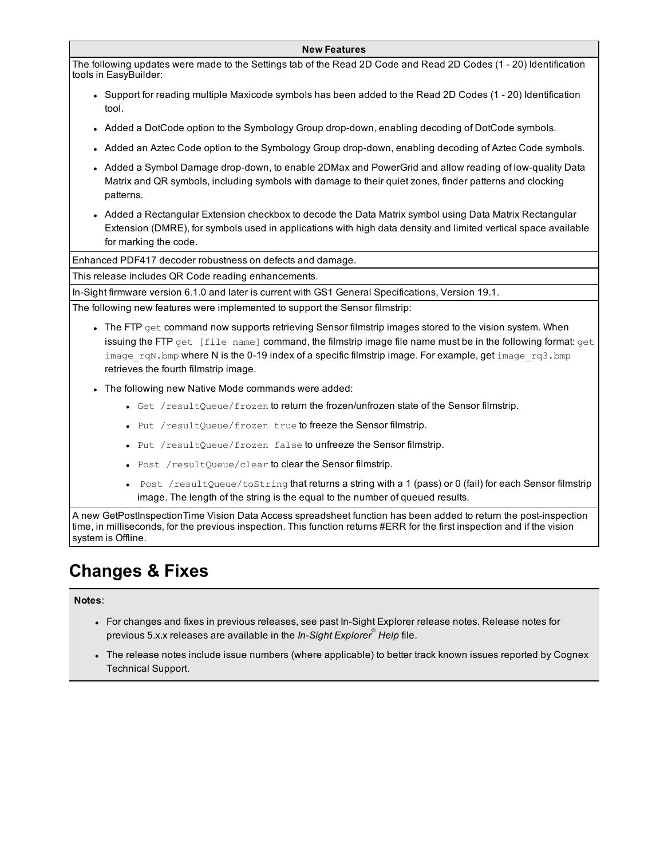#### **New Features**

The following updates were made to the Settings tab of the Read 2D Code and Read 2D Codes (1 - 20) Identification tools in EasyBuilder:

- Support for reading multiple Maxicode symbols has been added to the Read 2D Codes (1 20) Identification tool.
- Added a DotCode option to the Symbology Group drop-down, enabling decoding of DotCode symbols.
- Added an Aztec Code option to the Symbology Group drop-down, enabling decoding of Aztec Code symbols.
- Added a Symbol Damage drop-down, to enable 2DMax and PowerGrid and allow reading of low-quality Data Matrix and QR symbols, including symbols with damage to their quiet zones, finder patterns and clocking patterns.
- Added a Rectangular Extension checkbox to decode the Data Matrix symbol using Data Matrix Rectangular Extension (DMRE), for symbols used in applications with high data density and limited vertical space available for marking the code.

Enhanced PDF417 decoder robustness on defects and damage.

This release includes QR Code reading enhancements.

In-Sight firmware version 6.1.0 and later is current with GS1 General Specifications, Version 19.1.

The following new features were implemented to support the Sensor filmstrip:

- The FTP get command now supports retrieving Sensor filmstrip images stored to the vision system. When issuing the FTP get [file name] command, the filmstrip image file name must be in the following format: get image rqN.bmp where N is the 0-19 index of a specific filmstrip image. For example, get image rq3.bmp retrieves the fourth filmstrip image.
- The following new Native Mode commands were added:
	- Get /resultQueue/frozen to return the frozen/unfrozen state of the Sensor filmstrip.
	- Put /resultQueue/frozen true to freeze the Sensor filmstrip.
	- Put /resultQueue/frozen false to unfreeze the Sensor filmstrip.
	- Post /resultQueue/clear to clear the Sensor filmstrip.
	- Post /resultQueue/toString that returns a string with a 1 (pass) or 0 (fail) for each Sensor filmstrip image. The length of the string is the equal to the number of queued results.

A new GetPostInspectionTime Vision Data Access spreadsheet function has been added to return the post-inspection time, in milliseconds, for the previous inspection. This function returns #ERR for the first inspection and if the vision system is Offline.

# <span id="page-3-0"></span>**Changes & Fixes**

**Notes**:

- For changes and fixes in previous releases, see past In-Sight Explorer release notes. Release notes for previous 5.x.x releases are available in the *In-Sight Explorer® Help* file.
- The release notes include issue numbers (where applicable) to better track known issues reported by Cognex Technical Support.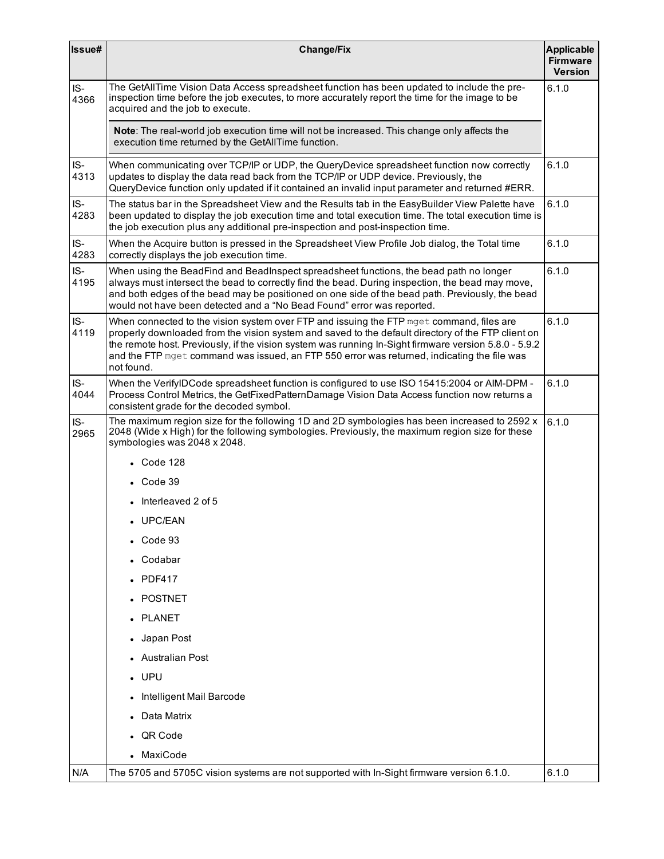| Issue#      | <b>Change/Fix</b>                                                                                                                                                                                                                                                                                                                                                                                                    | <b>Applicable</b><br><b>Firmware</b><br><b>Version</b> |
|-------------|----------------------------------------------------------------------------------------------------------------------------------------------------------------------------------------------------------------------------------------------------------------------------------------------------------------------------------------------------------------------------------------------------------------------|--------------------------------------------------------|
| IS-<br>4366 | The GetAllTime Vision Data Access spreadsheet function has been updated to include the pre-<br>inspection time before the job executes, to more accurately report the time for the image to be<br>acquired and the job to execute.                                                                                                                                                                                   | 6.1.0                                                  |
|             | Note: The real-world job execution time will not be increased. This change only affects the<br>execution time returned by the GetAllTime function.                                                                                                                                                                                                                                                                   |                                                        |
| IS-<br>4313 | When communicating over TCP/IP or UDP, the QueryDevice spreadsheet function now correctly<br>updates to display the data read back from the TCP/IP or UDP device. Previously, the<br>QueryDevice function only updated if it contained an invalid input parameter and returned #ERR.                                                                                                                                 | 6.1.0                                                  |
| IS-<br>4283 | The status bar in the Spreadsheet View and the Results tab in the EasyBuilder View Palette have<br>been updated to display the job execution time and total execution time. The total execution time is<br>the job execution plus any additional pre-inspection and post-inspection time.                                                                                                                            | 6.1.0                                                  |
| IS-<br>4283 | When the Acquire button is pressed in the Spreadsheet View Profile Job dialog, the Total time<br>correctly displays the job execution time.                                                                                                                                                                                                                                                                          | 6.1.0                                                  |
| IS-<br>4195 | When using the BeadFind and BeadInspect spreadsheet functions, the bead path no longer<br>always must intersect the bead to correctly find the bead. During inspection, the bead may move,<br>and both edges of the bead may be positioned on one side of the bead path. Previously, the bead<br>would not have been detected and a "No Bead Found" error was reported.                                              | 6.1.0                                                  |
| IS-<br>4119 | When connected to the vision system over FTP and issuing the FTP mget command, files are<br>properly downloaded from the vision system and saved to the default directory of the FTP client on<br>the remote host. Previously, if the vision system was running In-Sight firmware version 5.8.0 - 5.9.2<br>and the FTP mget command was issued, an FTP 550 error was returned, indicating the file was<br>not found. | 6.1.0                                                  |
| IS-<br>4044 | When the VerifylDCode spreadsheet function is configured to use ISO 15415:2004 or AIM-DPM -<br>Process Control Metrics, the GetFixedPatternDamage Vision Data Access function now returns a<br>consistent grade for the decoded symbol.                                                                                                                                                                              | 6.1.0                                                  |
| IS-<br>2965 | The maximum region size for the following 1D and 2D symbologies has been increased to 2592 x<br>2048 (Wide x High) for the following symbologies. Previously, the maximum region size for these<br>symbologies was 2048 x 2048.                                                                                                                                                                                      | 6.1.0                                                  |
|             | • Code 128                                                                                                                                                                                                                                                                                                                                                                                                           |                                                        |
|             | $\bullet$ Code 39                                                                                                                                                                                                                                                                                                                                                                                                    |                                                        |
|             | Interleaved 2 of 5                                                                                                                                                                                                                                                                                                                                                                                                   |                                                        |
|             | • UPC/EAN                                                                                                                                                                                                                                                                                                                                                                                                            |                                                        |
|             | Code 93                                                                                                                                                                                                                                                                                                                                                                                                              |                                                        |
|             | Codabar                                                                                                                                                                                                                                                                                                                                                                                                              |                                                        |
|             | <b>PDF417</b>                                                                                                                                                                                                                                                                                                                                                                                                        |                                                        |
|             | POSTNET                                                                                                                                                                                                                                                                                                                                                                                                              |                                                        |
|             | PLANET                                                                                                                                                                                                                                                                                                                                                                                                               |                                                        |
|             | • Japan Post                                                                                                                                                                                                                                                                                                                                                                                                         |                                                        |
|             | • Australian Post                                                                                                                                                                                                                                                                                                                                                                                                    |                                                        |
|             | $\cdot$ UPU                                                                                                                                                                                                                                                                                                                                                                                                          |                                                        |
|             | Intelligent Mail Barcode                                                                                                                                                                                                                                                                                                                                                                                             |                                                        |
|             | Data Matrix                                                                                                                                                                                                                                                                                                                                                                                                          |                                                        |
|             | QR Code                                                                                                                                                                                                                                                                                                                                                                                                              |                                                        |
|             | MaxiCode                                                                                                                                                                                                                                                                                                                                                                                                             |                                                        |
| N/A         | The 5705 and 5705C vision systems are not supported with In-Sight firmware version 6.1.0.                                                                                                                                                                                                                                                                                                                            | 6.1.0                                                  |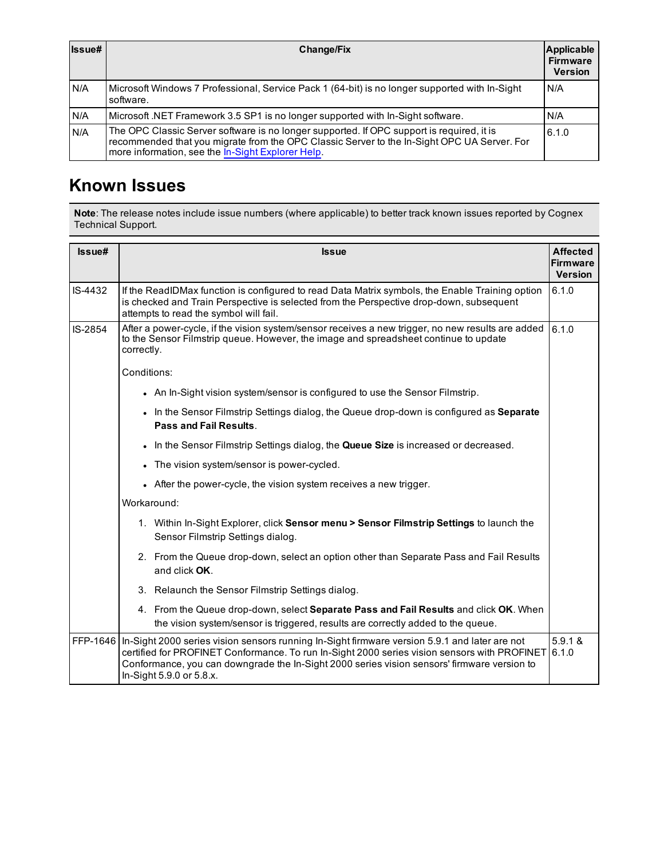| Issue# | <b>Change/Fix</b>                                                                                                                                                                                                                             | <b>Applicable</b><br><b>Firmware</b><br><b>Version</b> |
|--------|-----------------------------------------------------------------------------------------------------------------------------------------------------------------------------------------------------------------------------------------------|--------------------------------------------------------|
| N/A    | Microsoft Windows 7 Professional, Service Pack 1 (64-bit) is no longer supported with In-Sight<br>software.                                                                                                                                   | I N/A                                                  |
| N/A    | Microsoft .NET Framework 3.5 SP1 is no longer supported with In-Sight software.                                                                                                                                                               | N/A                                                    |
| N/A    | The OPC Classic Server software is no longer supported. If OPC support is required, it is<br>recommended that you migrate from the OPC Classic Server to the In-Sight OPC UA Server. For<br>more information, see the In-Sight Explorer Help. | 6.1.0                                                  |

# <span id="page-5-0"></span>**Known Issues**

**Note**: The release notes include issue numbers (where applicable) to better track known issues reported by Cognex Technical Support.

| Issue#  | <b>Issue</b>                                                                                                                                                                                                                                                                                                                        | <b>Affected</b><br><b>Firmware</b><br><b>Version</b> |
|---------|-------------------------------------------------------------------------------------------------------------------------------------------------------------------------------------------------------------------------------------------------------------------------------------------------------------------------------------|------------------------------------------------------|
| IS-4432 | 6.1.0<br>If the ReadIDMax function is configured to read Data Matrix symbols, the Enable Training option<br>is checked and Train Perspective is selected from the Perspective drop-down, subsequent<br>attempts to read the symbol will fail.                                                                                       |                                                      |
| IS-2854 | After a power-cycle, if the vision system/sensor receives a new trigger, no new results are added<br>to the Sensor Filmstrip queue. However, the image and spreadsheet continue to update<br>correctly.                                                                                                                             | 6.1.0                                                |
|         | Conditions:                                                                                                                                                                                                                                                                                                                         |                                                      |
|         | • An In-Sight vision system/sensor is configured to use the Sensor Filmstrip.                                                                                                                                                                                                                                                       |                                                      |
|         | In the Sensor Filmstrip Settings dialog, the Queue drop-down is configured as Separate<br>Pass and Fail Results.                                                                                                                                                                                                                    |                                                      |
|         | In the Sensor Filmstrip Settings dialog, the Queue Size is increased or decreased.<br>$\bullet$                                                                                                                                                                                                                                     |                                                      |
|         | The vision system/sensor is power-cycled.                                                                                                                                                                                                                                                                                           |                                                      |
|         | After the power-cycle, the vision system receives a new trigger.                                                                                                                                                                                                                                                                    |                                                      |
|         | Workaround:                                                                                                                                                                                                                                                                                                                         |                                                      |
|         | 1. Within In-Sight Explorer, click Sensor menu > Sensor Filmstrip Settings to launch the<br>Sensor Filmstrip Settings dialog.                                                                                                                                                                                                       |                                                      |
|         | 2. From the Queue drop-down, select an option other than Separate Pass and Fail Results<br>and click OK.                                                                                                                                                                                                                            |                                                      |
|         | 3. Relaunch the Sensor Filmstrip Settings dialog.                                                                                                                                                                                                                                                                                   |                                                      |
|         | 4. From the Queue drop-down, select Separate Pass and Fail Results and click OK. When<br>the vision system/sensor is triggered, results are correctly added to the queue.                                                                                                                                                           |                                                      |
|         | FFP-1646   In-Sight 2000 series vision sensors running In-Sight firmware version 5.9.1 and later are not<br>certified for PROFINET Conformance. To run In-Sight 2000 series vision sensors with PROFINET<br>Conformance, you can downgrade the In-Sight 2000 series vision sensors' firmware version to<br>In-Sight 5.9.0 or 5.8.x. | 5.9.1 &<br>6.1.0                                     |